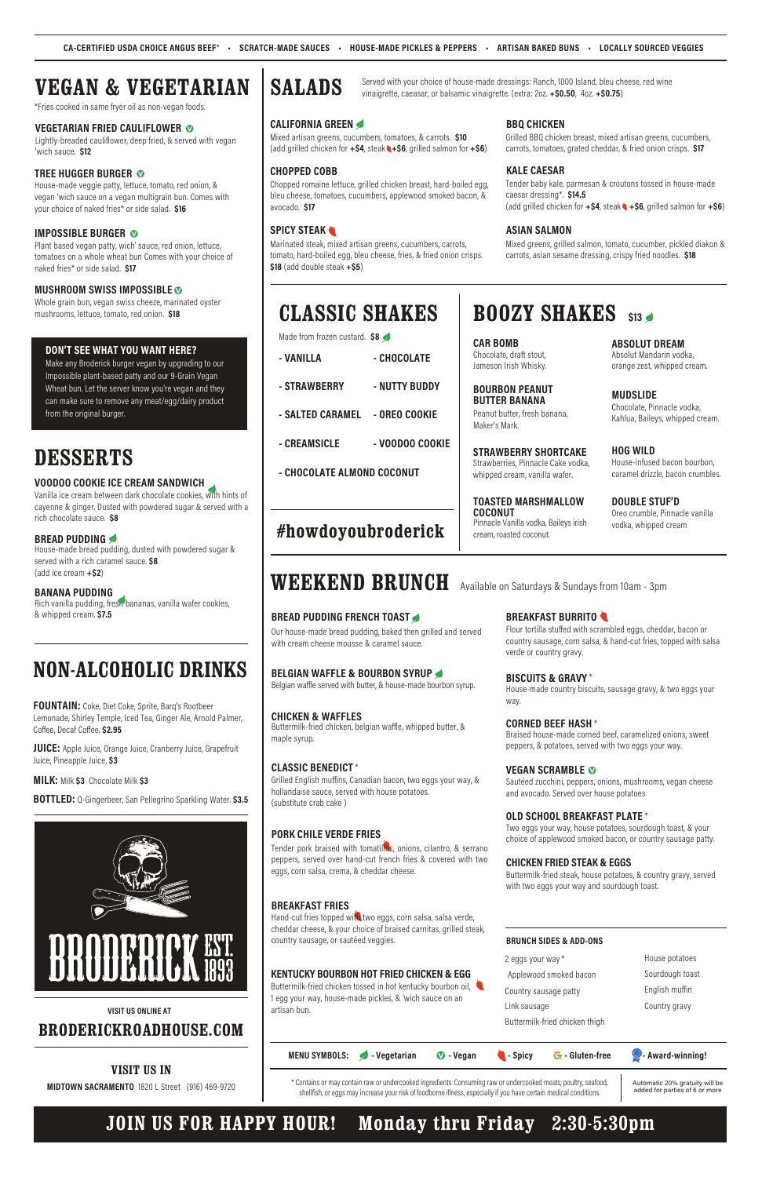# **WEEKEND BRUNCH**

# Available on Saturdays & Sundays from 10am - 3pm

# **BREAD PUDDING FRENCH TOAST**

Our house-made bread pudding, baked then grilled and served with cream cheese mousse & caramel sauce.

# **BELGIAN WAFFLE & BOURBON SYRUP**

Belgian waffle served with butter, & house-made bourbon syrup.

## **CHICKEN & WAFFLES**

Buttermilk-fried chicken, belgian waffle, whipped butter, & maple syrup.

# **CLASSIC BENEDICT** \*

Grilled English muffins, Canadian bacon, two eggs your way, & hollandaise sauce, served with house potatoes. (substitute crab cake )

# **PORK CHILE VERDE FRIES**

Tender pork braised with tomatillos, onions, cilantro, & serrano peppers, served over hand-cut french fries & covered with two eggs, corn salsa, crema, & cheddar cheese.

# **BREAKFAST FRIES**

Hand-cut fries topped with two eggs, corn salsa, salsa verde, cheddar cheese, & your choice of braised carnitas, grilled steak, country sausage, or sautéed veggies.

# **KENTUCKY BOURBON HOT FRIED CHICKEN & EGG**

Buttermilk-fried chicken tossed in hot kentucky bourbon oil, 1 egg your way, house-made pickles, & 'wich sauce on an artisan bun.

# **BREAKFAST BURRITO**

Flour tortilla stuffed with scrambled eggs, cheddar, bacon or country sausage, corn salsa, & hand-cut fries, topped with salsa verde or country gravy.

# **BISCUITS & GRAVY** \*

House-made country biscuits, sausage gravy, & two eggs your way.

## **CORNED BEEF HASH** \*

Braised house-made corned beef, caramelized onions, sweet peppers, & potatoes, served with two eggs your way.

## **VEGAN SCRAMBLE**

Sautéed zucchini, peppers, onions, mushrooms, vegan cheese and avocado. Served over house potatoes

# **OLD SCHOOL BREAKFAST PLATE** \*

Two eggs your way, house potatoes, sourdough toast, & your choice of applewood smoked bacon, or country sausage patty.

## **CHICKEN FRIED STEAK & EGGS**

Buttermilk-fried steak, house potatoes, & country gravy, served with two eggs your way and sourdough toast.

## **BRUNCH SIDES & ADD-ONS**

2 eggs your way\* Applewood smoked bacon Country sausage patty Link sausage

Buttermilk-fried chicken thigh

House potatoes Sourdough toast English muffin Country gravy



\* Contains or may contain raw or undercooked ingredients. Consuming raw or undercooked meats, poultry, seafood, shellfish, or eggs may increase your risk of foodborne illness, especially if you have certain medical conditions.

Automatic 20% gratuity will be added for parties of 6 or more